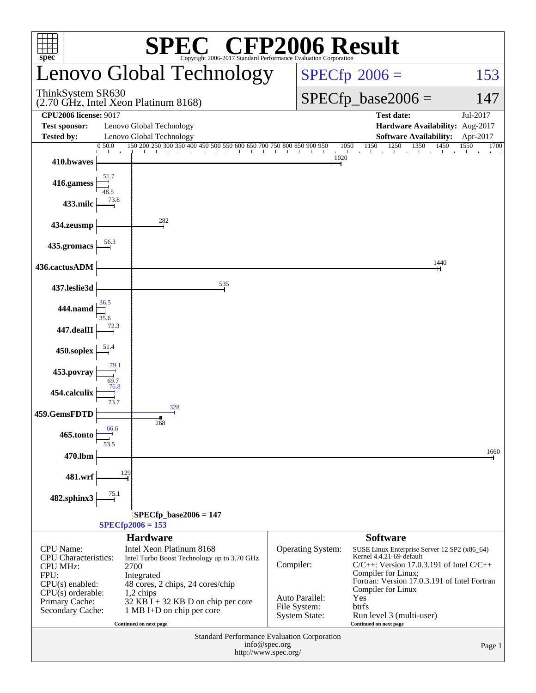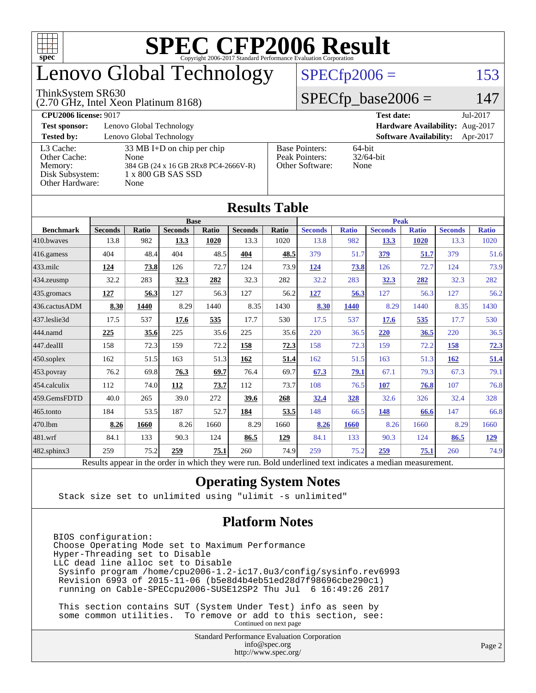

# enovo Global Technology

#### ThinkSystem SR630

(2.70 GHz, Intel Xeon Platinum 8168)

 $SPECfp2006 = 153$  $SPECfp2006 = 153$ 

### $SPECfp\_base2006 = 147$

| <b>CPU2006 license: 9017</b> |                                      |                                 | <b>Test date:</b><br>Jul-2017             |  |  |  |
|------------------------------|--------------------------------------|---------------------------------|-------------------------------------------|--|--|--|
| <b>Test sponsor:</b>         | Lenovo Global Technology             | Hardware Availability: Aug-2017 |                                           |  |  |  |
| <b>Tested by:</b>            | Lenovo Global Technology             |                                 | <b>Software Availability:</b><br>Apr-2017 |  |  |  |
| L3 Cache:                    | 33 MB I+D on chip per chip           | <b>Base Pointers:</b>           | $64$ -bit                                 |  |  |  |
| Other Cache:                 | None                                 | Peak Pointers:                  | $32/64$ -bit                              |  |  |  |
| Memory:                      | 384 GB (24 x 16 GB 2Rx8 PC4-2666V-R) | Other Software:                 | None                                      |  |  |  |
| Disk Subsystem:              | 1 x 800 GB SAS SSD                   |                                 |                                           |  |  |  |
| Other Hardware:              | None                                 |                                 |                                           |  |  |  |

**[Results Table](http://www.spec.org/auto/cpu2006/Docs/result-fields.html#ResultsTable)**

|                        | Results Table                                                                                            |              |                |       |                |              |                |              |                |              |                |              |
|------------------------|----------------------------------------------------------------------------------------------------------|--------------|----------------|-------|----------------|--------------|----------------|--------------|----------------|--------------|----------------|--------------|
|                        | <b>Base</b>                                                                                              |              |                |       |                |              | <b>Peak</b>    |              |                |              |                |              |
| <b>Benchmark</b>       | <b>Seconds</b>                                                                                           | <b>Ratio</b> | <b>Seconds</b> | Ratio | <b>Seconds</b> | <b>Ratio</b> | <b>Seconds</b> | <b>Ratio</b> | <b>Seconds</b> | <b>Ratio</b> | <b>Seconds</b> | <b>Ratio</b> |
| 410.bwaves             | 13.8                                                                                                     | 982          | 13.3           | 1020  | 13.3           | 1020         | 13.8           | 982          | 13.3           | 1020         | 13.3           | 1020         |
| $416$ .gamess          | 404                                                                                                      | 48.4         | 404            | 48.5  | 404            | 48.5         | 379            | 51.7         | 379            | 51.7         | 379            | 51.6         |
| $433$ .milc            | 124                                                                                                      | 73.8         | 126            | 72.7  | 124            | 73.9         | 124            | 73.8         | 126            | 72.7         | 124            | 73.9         |
| 434.zeusmp             | 32.2                                                                                                     | 283          | 32.3           | 282   | 32.3           | 282          | 32.2           | 283          | 32.3           | 282          | 32.3           | 282          |
| 435.gromacs            | 127                                                                                                      | 56.3         | 127            | 56.3  | 127            | 56.2         | 127            | 56.3         | 127            | 56.3         | 127            | 56.2         |
| 436.cactusADM          | 8.30                                                                                                     | 1440         | 8.29           | 1440  | 8.35           | 1430         | 8.30           | 1440         | 8.29           | 1440         | 8.35           | 1430         |
| 437.leslie3d           | 17.5                                                                                                     | 537          | 17.6           | 535   | 17.7           | 530          | 17.5           | 537          | 17.6           | 535          | 17.7           | 530          |
| 444.namd               | 225                                                                                                      | 35.6         | 225            | 35.6  | 225            | 35.6         | 220            | 36.5         | 220            | 36.5         | 220            | 36.5         |
| $ 447 \text{.}$ dealII | 158                                                                                                      | 72.3         | 159            | 72.2  | 158            | 72.3         | 158            | 72.3         | 159            | 72.2         | 158            | 72.3         |
| $450$ .soplex          | 162                                                                                                      | 51.5         | 163            | 51.3  | 162            | 51.4         | 162            | 51.5         | 163            | 51.3         | 162            | 51.4         |
| 453.povray             | 76.2                                                                                                     | 69.8         | 76.3           | 69.7  | 76.4           | 69.7         | 67.3           | 79.1         | 67.1           | 79.3         | 67.3           | 79.1         |
| $ 454$ .calculix       | 112                                                                                                      | 74.0         | 112            | 73.7  | 112            | 73.7         | 108            | 76.5         | 107            | 76.8         | 107            | 76.8         |
| 459.GemsFDTD           | 40.0                                                                                                     | 265          | 39.0           | 272   | 39.6           | 268          | 32.4           | 328          | 32.6           | 326          | 32.4           | 328          |
| $ 465$ .tonto          | 184                                                                                                      | 53.5         | 187            | 52.7  | 184            | 53.5         | 148            | 66.5         | 148            | 66.6         | 147            | 66.8         |
| 470.1bm                | 8.26                                                                                                     | 1660         | 8.26           | 1660  | 8.29           | 1660         | 8.26           | 1660         | 8.26           | 1660         | 8.29           | 1660         |
| 481.wrf                | 84.1                                                                                                     | 133          | 90.3           | 124   | 86.5           | 129          | 84.1           | 133          | 90.3           | 124          | 86.5           | <u>129</u>   |
| $482$ .sphinx $3$      | 259                                                                                                      | 75.2         | 259            | 75.1  | 260            | 74.9         | 259            | 75.2         | 259            | 75.1         | 260            | 74.9         |
|                        | Results appear in the order in which they were run. Bold underlined text indicates a median measurement. |              |                |       |                |              |                |              |                |              |                |              |

#### **[Operating System Notes](http://www.spec.org/auto/cpu2006/Docs/result-fields.html#OperatingSystemNotes)**

Stack size set to unlimited using "ulimit -s unlimited"

#### **[Platform Notes](http://www.spec.org/auto/cpu2006/Docs/result-fields.html#PlatformNotes)**

BIOS configuration: Choose Operating Mode set to Maximum Performance Hyper-Threading set to Disable LLC dead line alloc set to Disable Sysinfo program /home/cpu2006-1.2-ic17.0u3/config/sysinfo.rev6993 Revision 6993 of 2015-11-06 (b5e8d4b4eb51ed28d7f98696cbe290c1) running on Cable-SPECcpu2006-SUSE12SP2 Thu Jul 6 16:49:26 2017

 This section contains SUT (System Under Test) info as seen by some common utilities. To remove or add to this section, see: Continued on next page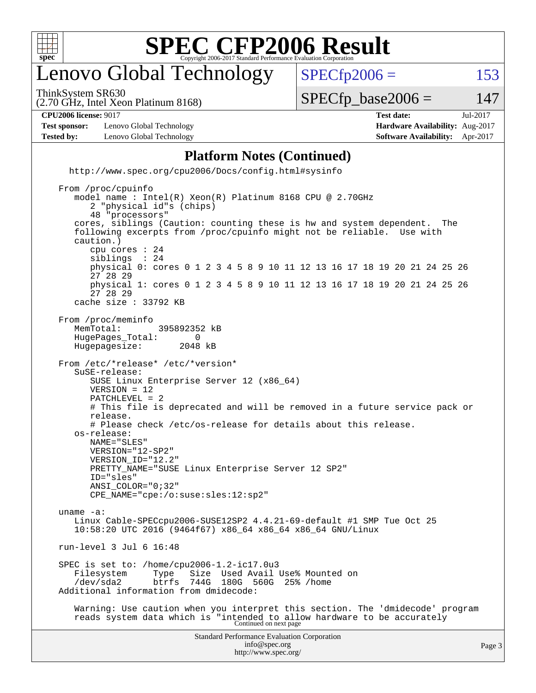

## enovo Global Technology

ThinkSystem SR630

 $SPECTp2006 = 153$ 

(2.70 GHz, Intel Xeon Platinum 8168)

 $SPECTp\_base2006 = 147$ 

**[CPU2006 license:](http://www.spec.org/auto/cpu2006/Docs/result-fields.html#CPU2006license)** 9017 **[Test date:](http://www.spec.org/auto/cpu2006/Docs/result-fields.html#Testdate)** Jul-2017

**[Test sponsor:](http://www.spec.org/auto/cpu2006/Docs/result-fields.html#Testsponsor)** Lenovo Global Technology **[Hardware Availability:](http://www.spec.org/auto/cpu2006/Docs/result-fields.html#HardwareAvailability)** Aug-2017 **[Tested by:](http://www.spec.org/auto/cpu2006/Docs/result-fields.html#Testedby)** Lenovo Global Technology **[Software Availability:](http://www.spec.org/auto/cpu2006/Docs/result-fields.html#SoftwareAvailability)** Apr-2017

#### **[Platform Notes \(Continued\)](http://www.spec.org/auto/cpu2006/Docs/result-fields.html#PlatformNotes)**

Standard Performance Evaluation Corporation [info@spec.org](mailto:info@spec.org) <http://www.spec.org/cpu2006/Docs/config.html#sysinfo> From /proc/cpuinfo model name : Intel(R) Xeon(R) Platinum 8168 CPU @ 2.70GHz 2 "physical id"s (chips) 48 "processors" cores, siblings (Caution: counting these is hw and system dependent. The following excerpts from /proc/cpuinfo might not be reliable. Use with caution.) cpu cores : 24 siblings physical 0: cores 0 1 2 3 4 5 8 9 10 11 12 13 16 17 18 19 20 21 24 25 26 27 28 29 physical 1: cores 0 1 2 3 4 5 8 9 10 11 12 13 16 17 18 19 20 21 24 25 26 27 28 29 cache size : 33792 KB From /proc/meminfo MemTotal: 395892352 kB<br>HugePages Total: 0 HugePages\_Total: 0 Hugepagesize: 2048 kB From /etc/\*release\* /etc/\*version\* SuSE-release: SUSE Linux Enterprise Server 12 (x86\_64) VERSION = 12 PATCHLEVEL = 2 # This file is deprecated and will be removed in a future service pack or release. # Please check /etc/os-release for details about this release. os-release: NAME="SLES" VERSION="12-SP2" VERSION\_ID="12.2" PRETTY\_NAME="SUSE Linux Enterprise Server 12 SP2" ID="sles" ANSI\_COLOR="0;32" CPE\_NAME="cpe:/o:suse:sles:12:sp2" uname -a: Linux Cable-SPECcpu2006-SUSE12SP2 4.4.21-69-default #1 SMP Tue Oct 25 10:58:20 UTC 2016 (9464f67) x86\_64 x86\_64 x86\_64 GNU/Linux run-level 3 Jul 6 16:48 SPEC is set to: /home/cpu2006-1.2-ic17.0u3 Filesystem Type Size Used Avail Use% Mounted on<br>
/dev/sda2 btrfs 744G 180G 560G 25% /home /dev/sda2 btrfs 744G 180G 560G 25% /home Additional information from dmidecode: Warning: Use caution when you interpret this section. The 'dmidecode' program reads system data which is "intended to allow hardware to be accurately Continued on next page

<http://www.spec.org/>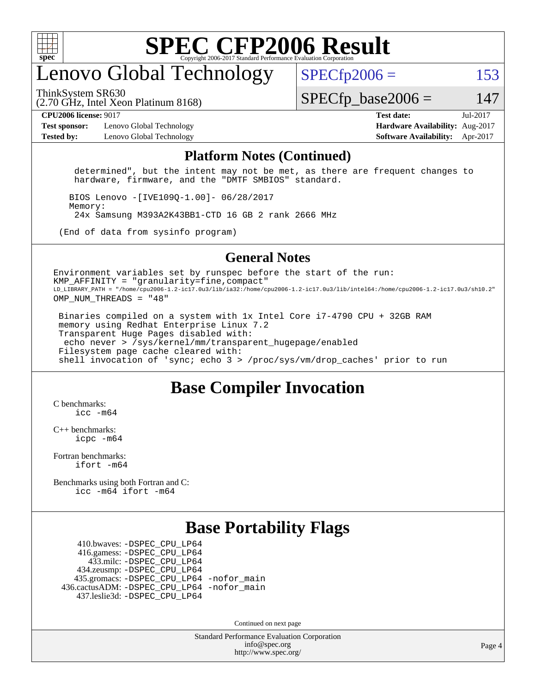

## enovo Global Technology

ThinkSystem SR630

 $SPECfp2006 = 153$  $SPECfp2006 = 153$ 

(2.70 GHz, Intel Xeon Platinum 8168)

 $SPECTp\_base2006 = 147$ 

**[CPU2006 license:](http://www.spec.org/auto/cpu2006/Docs/result-fields.html#CPU2006license)** 9017 **[Test date:](http://www.spec.org/auto/cpu2006/Docs/result-fields.html#Testdate)** Jul-2017

**[Test sponsor:](http://www.spec.org/auto/cpu2006/Docs/result-fields.html#Testsponsor)** Lenovo Global Technology **[Hardware Availability:](http://www.spec.org/auto/cpu2006/Docs/result-fields.html#HardwareAvailability)** Aug-2017 **[Tested by:](http://www.spec.org/auto/cpu2006/Docs/result-fields.html#Testedby)** Lenovo Global Technology **[Software Availability:](http://www.spec.org/auto/cpu2006/Docs/result-fields.html#SoftwareAvailability)** Apr-2017

#### **[Platform Notes \(Continued\)](http://www.spec.org/auto/cpu2006/Docs/result-fields.html#PlatformNotes)**

 determined", but the intent may not be met, as there are frequent changes to hardware, firmware, and the "DMTF SMBIOS" standard.

 BIOS Lenovo -[IVE109Q-1.00]- 06/28/2017 Memory: 24x Samsung M393A2K43BB1-CTD 16 GB 2 rank 2666 MHz

(End of data from sysinfo program)

#### **[General Notes](http://www.spec.org/auto/cpu2006/Docs/result-fields.html#GeneralNotes)**

Environment variables set by runspec before the start of the run:  $KMP$  AFFINITY = "granularity=fine, compact" LD\_LIBRARY\_PATH = "/home/cpu2006-1.2-ic17.0u3/lib/ia32:/home/cpu2006-1.2-ic17.0u3/lib/intel64:/home/cpu2006-1.2-ic17.0u3/sh10.2" OMP\_NUM\_THREADS = "48"

 Binaries compiled on a system with 1x Intel Core i7-4790 CPU + 32GB RAM memory using Redhat Enterprise Linux 7.2 Transparent Huge Pages disabled with: echo never > /sys/kernel/mm/transparent\_hugepage/enabled Filesystem page cache cleared with: shell invocation of 'sync; echo 3 > /proc/sys/vm/drop\_caches' prior to run

### **[Base Compiler Invocation](http://www.spec.org/auto/cpu2006/Docs/result-fields.html#BaseCompilerInvocation)**

[C benchmarks](http://www.spec.org/auto/cpu2006/Docs/result-fields.html#Cbenchmarks): [icc -m64](http://www.spec.org/cpu2006/results/res2017q4/cpu2006-20170918-49581.flags.html#user_CCbase_intel_icc_64bit_bda6cc9af1fdbb0edc3795bac97ada53)

[C++ benchmarks:](http://www.spec.org/auto/cpu2006/Docs/result-fields.html#CXXbenchmarks) [icpc -m64](http://www.spec.org/cpu2006/results/res2017q4/cpu2006-20170918-49581.flags.html#user_CXXbase_intel_icpc_64bit_fc66a5337ce925472a5c54ad6a0de310)

[Fortran benchmarks](http://www.spec.org/auto/cpu2006/Docs/result-fields.html#Fortranbenchmarks): [ifort -m64](http://www.spec.org/cpu2006/results/res2017q4/cpu2006-20170918-49581.flags.html#user_FCbase_intel_ifort_64bit_ee9d0fb25645d0210d97eb0527dcc06e)

[Benchmarks using both Fortran and C](http://www.spec.org/auto/cpu2006/Docs/result-fields.html#BenchmarksusingbothFortranandC): [icc -m64](http://www.spec.org/cpu2006/results/res2017q4/cpu2006-20170918-49581.flags.html#user_CC_FCbase_intel_icc_64bit_bda6cc9af1fdbb0edc3795bac97ada53) [ifort -m64](http://www.spec.org/cpu2006/results/res2017q4/cpu2006-20170918-49581.flags.html#user_CC_FCbase_intel_ifort_64bit_ee9d0fb25645d0210d97eb0527dcc06e)

### **[Base Portability Flags](http://www.spec.org/auto/cpu2006/Docs/result-fields.html#BasePortabilityFlags)**

 410.bwaves: [-DSPEC\\_CPU\\_LP64](http://www.spec.org/cpu2006/results/res2017q4/cpu2006-20170918-49581.flags.html#suite_basePORTABILITY410_bwaves_DSPEC_CPU_LP64) 416.gamess: [-DSPEC\\_CPU\\_LP64](http://www.spec.org/cpu2006/results/res2017q4/cpu2006-20170918-49581.flags.html#suite_basePORTABILITY416_gamess_DSPEC_CPU_LP64) 433.milc: [-DSPEC\\_CPU\\_LP64](http://www.spec.org/cpu2006/results/res2017q4/cpu2006-20170918-49581.flags.html#suite_basePORTABILITY433_milc_DSPEC_CPU_LP64) 434.zeusmp: [-DSPEC\\_CPU\\_LP64](http://www.spec.org/cpu2006/results/res2017q4/cpu2006-20170918-49581.flags.html#suite_basePORTABILITY434_zeusmp_DSPEC_CPU_LP64) 435.gromacs: [-DSPEC\\_CPU\\_LP64](http://www.spec.org/cpu2006/results/res2017q4/cpu2006-20170918-49581.flags.html#suite_basePORTABILITY435_gromacs_DSPEC_CPU_LP64) [-nofor\\_main](http://www.spec.org/cpu2006/results/res2017q4/cpu2006-20170918-49581.flags.html#user_baseLDPORTABILITY435_gromacs_f-nofor_main) 436.cactusADM: [-DSPEC\\_CPU\\_LP64](http://www.spec.org/cpu2006/results/res2017q4/cpu2006-20170918-49581.flags.html#suite_basePORTABILITY436_cactusADM_DSPEC_CPU_LP64) [-nofor\\_main](http://www.spec.org/cpu2006/results/res2017q4/cpu2006-20170918-49581.flags.html#user_baseLDPORTABILITY436_cactusADM_f-nofor_main) 437.leslie3d: [-DSPEC\\_CPU\\_LP64](http://www.spec.org/cpu2006/results/res2017q4/cpu2006-20170918-49581.flags.html#suite_basePORTABILITY437_leslie3d_DSPEC_CPU_LP64)

Continued on next page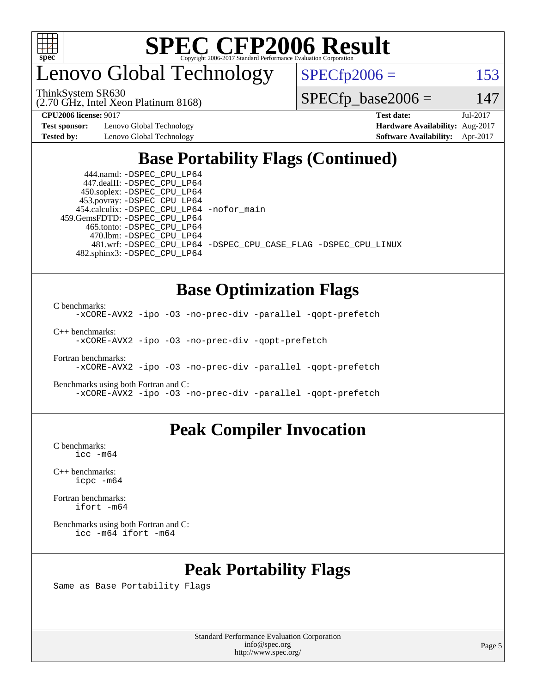

enovo Global Technology

ThinkSystem SR630

 $SPECTp2006 = 153$ 

(2.70 GHz, Intel Xeon Platinum 8168)

 $SPECTp\_base2006 = 147$ 

**[Test sponsor:](http://www.spec.org/auto/cpu2006/Docs/result-fields.html#Testsponsor)** Lenovo Global Technology **[Hardware Availability:](http://www.spec.org/auto/cpu2006/Docs/result-fields.html#HardwareAvailability)** Aug-2017

**[CPU2006 license:](http://www.spec.org/auto/cpu2006/Docs/result-fields.html#CPU2006license)** 9017 **[Test date:](http://www.spec.org/auto/cpu2006/Docs/result-fields.html#Testdate)** Jul-2017 **[Tested by:](http://www.spec.org/auto/cpu2006/Docs/result-fields.html#Testedby)** Lenovo Global Technology **[Software Availability:](http://www.spec.org/auto/cpu2006/Docs/result-fields.html#SoftwareAvailability)** Apr-2017

### **[Base Portability Flags \(Continued\)](http://www.spec.org/auto/cpu2006/Docs/result-fields.html#BasePortabilityFlags)**

 444.namd: [-DSPEC\\_CPU\\_LP64](http://www.spec.org/cpu2006/results/res2017q4/cpu2006-20170918-49581.flags.html#suite_basePORTABILITY444_namd_DSPEC_CPU_LP64) 447.dealII: [-DSPEC\\_CPU\\_LP64](http://www.spec.org/cpu2006/results/res2017q4/cpu2006-20170918-49581.flags.html#suite_basePORTABILITY447_dealII_DSPEC_CPU_LP64) 450.soplex: [-DSPEC\\_CPU\\_LP64](http://www.spec.org/cpu2006/results/res2017q4/cpu2006-20170918-49581.flags.html#suite_basePORTABILITY450_soplex_DSPEC_CPU_LP64) 453.povray: [-DSPEC\\_CPU\\_LP64](http://www.spec.org/cpu2006/results/res2017q4/cpu2006-20170918-49581.flags.html#suite_basePORTABILITY453_povray_DSPEC_CPU_LP64) 454.calculix: [-DSPEC\\_CPU\\_LP64](http://www.spec.org/cpu2006/results/res2017q4/cpu2006-20170918-49581.flags.html#suite_basePORTABILITY454_calculix_DSPEC_CPU_LP64) [-nofor\\_main](http://www.spec.org/cpu2006/results/res2017q4/cpu2006-20170918-49581.flags.html#user_baseLDPORTABILITY454_calculix_f-nofor_main) 459.GemsFDTD: [-DSPEC\\_CPU\\_LP64](http://www.spec.org/cpu2006/results/res2017q4/cpu2006-20170918-49581.flags.html#suite_basePORTABILITY459_GemsFDTD_DSPEC_CPU_LP64) 465.tonto: [-DSPEC\\_CPU\\_LP64](http://www.spec.org/cpu2006/results/res2017q4/cpu2006-20170918-49581.flags.html#suite_basePORTABILITY465_tonto_DSPEC_CPU_LP64) 470.lbm: [-DSPEC\\_CPU\\_LP64](http://www.spec.org/cpu2006/results/res2017q4/cpu2006-20170918-49581.flags.html#suite_basePORTABILITY470_lbm_DSPEC_CPU_LP64) 482.sphinx3: [-DSPEC\\_CPU\\_LP64](http://www.spec.org/cpu2006/results/res2017q4/cpu2006-20170918-49581.flags.html#suite_basePORTABILITY482_sphinx3_DSPEC_CPU_LP64)

481.wrf: [-DSPEC\\_CPU\\_LP64](http://www.spec.org/cpu2006/results/res2017q4/cpu2006-20170918-49581.flags.html#suite_basePORTABILITY481_wrf_DSPEC_CPU_LP64) [-DSPEC\\_CPU\\_CASE\\_FLAG](http://www.spec.org/cpu2006/results/res2017q4/cpu2006-20170918-49581.flags.html#b481.wrf_baseCPORTABILITY_DSPEC_CPU_CASE_FLAG) [-DSPEC\\_CPU\\_LINUX](http://www.spec.org/cpu2006/results/res2017q4/cpu2006-20170918-49581.flags.html#b481.wrf_baseCPORTABILITY_DSPEC_CPU_LINUX)

### **[Base Optimization Flags](http://www.spec.org/auto/cpu2006/Docs/result-fields.html#BaseOptimizationFlags)**

[C benchmarks](http://www.spec.org/auto/cpu2006/Docs/result-fields.html#Cbenchmarks):

[-xCORE-AVX2](http://www.spec.org/cpu2006/results/res2017q4/cpu2006-20170918-49581.flags.html#user_CCbase_f-xCORE-AVX2) [-ipo](http://www.spec.org/cpu2006/results/res2017q4/cpu2006-20170918-49581.flags.html#user_CCbase_f-ipo) [-O3](http://www.spec.org/cpu2006/results/res2017q4/cpu2006-20170918-49581.flags.html#user_CCbase_f-O3) [-no-prec-div](http://www.spec.org/cpu2006/results/res2017q4/cpu2006-20170918-49581.flags.html#user_CCbase_f-no-prec-div) [-parallel](http://www.spec.org/cpu2006/results/res2017q4/cpu2006-20170918-49581.flags.html#user_CCbase_f-parallel) [-qopt-prefetch](http://www.spec.org/cpu2006/results/res2017q4/cpu2006-20170918-49581.flags.html#user_CCbase_f-qopt-prefetch)

[C++ benchmarks:](http://www.spec.org/auto/cpu2006/Docs/result-fields.html#CXXbenchmarks) [-xCORE-AVX2](http://www.spec.org/cpu2006/results/res2017q4/cpu2006-20170918-49581.flags.html#user_CXXbase_f-xCORE-AVX2) [-ipo](http://www.spec.org/cpu2006/results/res2017q4/cpu2006-20170918-49581.flags.html#user_CXXbase_f-ipo) [-O3](http://www.spec.org/cpu2006/results/res2017q4/cpu2006-20170918-49581.flags.html#user_CXXbase_f-O3) [-no-prec-div](http://www.spec.org/cpu2006/results/res2017q4/cpu2006-20170918-49581.flags.html#user_CXXbase_f-no-prec-div) [-qopt-prefetch](http://www.spec.org/cpu2006/results/res2017q4/cpu2006-20170918-49581.flags.html#user_CXXbase_f-qopt-prefetch)

[Fortran benchmarks](http://www.spec.org/auto/cpu2006/Docs/result-fields.html#Fortranbenchmarks): [-xCORE-AVX2](http://www.spec.org/cpu2006/results/res2017q4/cpu2006-20170918-49581.flags.html#user_FCbase_f-xCORE-AVX2) [-ipo](http://www.spec.org/cpu2006/results/res2017q4/cpu2006-20170918-49581.flags.html#user_FCbase_f-ipo) [-O3](http://www.spec.org/cpu2006/results/res2017q4/cpu2006-20170918-49581.flags.html#user_FCbase_f-O3) [-no-prec-div](http://www.spec.org/cpu2006/results/res2017q4/cpu2006-20170918-49581.flags.html#user_FCbase_f-no-prec-div) [-parallel](http://www.spec.org/cpu2006/results/res2017q4/cpu2006-20170918-49581.flags.html#user_FCbase_f-parallel) [-qopt-prefetch](http://www.spec.org/cpu2006/results/res2017q4/cpu2006-20170918-49581.flags.html#user_FCbase_f-qopt-prefetch)

[Benchmarks using both Fortran and C](http://www.spec.org/auto/cpu2006/Docs/result-fields.html#BenchmarksusingbothFortranandC): [-xCORE-AVX2](http://www.spec.org/cpu2006/results/res2017q4/cpu2006-20170918-49581.flags.html#user_CC_FCbase_f-xCORE-AVX2) [-ipo](http://www.spec.org/cpu2006/results/res2017q4/cpu2006-20170918-49581.flags.html#user_CC_FCbase_f-ipo) [-O3](http://www.spec.org/cpu2006/results/res2017q4/cpu2006-20170918-49581.flags.html#user_CC_FCbase_f-O3) [-no-prec-div](http://www.spec.org/cpu2006/results/res2017q4/cpu2006-20170918-49581.flags.html#user_CC_FCbase_f-no-prec-div) [-parallel](http://www.spec.org/cpu2006/results/res2017q4/cpu2006-20170918-49581.flags.html#user_CC_FCbase_f-parallel) [-qopt-prefetch](http://www.spec.org/cpu2006/results/res2017q4/cpu2006-20170918-49581.flags.html#user_CC_FCbase_f-qopt-prefetch)

### **[Peak Compiler Invocation](http://www.spec.org/auto/cpu2006/Docs/result-fields.html#PeakCompilerInvocation)**

[C benchmarks](http://www.spec.org/auto/cpu2006/Docs/result-fields.html#Cbenchmarks): [icc -m64](http://www.spec.org/cpu2006/results/res2017q4/cpu2006-20170918-49581.flags.html#user_CCpeak_intel_icc_64bit_bda6cc9af1fdbb0edc3795bac97ada53)

[C++ benchmarks:](http://www.spec.org/auto/cpu2006/Docs/result-fields.html#CXXbenchmarks) [icpc -m64](http://www.spec.org/cpu2006/results/res2017q4/cpu2006-20170918-49581.flags.html#user_CXXpeak_intel_icpc_64bit_fc66a5337ce925472a5c54ad6a0de310)

[Fortran benchmarks](http://www.spec.org/auto/cpu2006/Docs/result-fields.html#Fortranbenchmarks): [ifort -m64](http://www.spec.org/cpu2006/results/res2017q4/cpu2006-20170918-49581.flags.html#user_FCpeak_intel_ifort_64bit_ee9d0fb25645d0210d97eb0527dcc06e)

[Benchmarks using both Fortran and C](http://www.spec.org/auto/cpu2006/Docs/result-fields.html#BenchmarksusingbothFortranandC): [icc -m64](http://www.spec.org/cpu2006/results/res2017q4/cpu2006-20170918-49581.flags.html#user_CC_FCpeak_intel_icc_64bit_bda6cc9af1fdbb0edc3795bac97ada53) [ifort -m64](http://www.spec.org/cpu2006/results/res2017q4/cpu2006-20170918-49581.flags.html#user_CC_FCpeak_intel_ifort_64bit_ee9d0fb25645d0210d97eb0527dcc06e)

### **[Peak Portability Flags](http://www.spec.org/auto/cpu2006/Docs/result-fields.html#PeakPortabilityFlags)**

Same as Base Portability Flags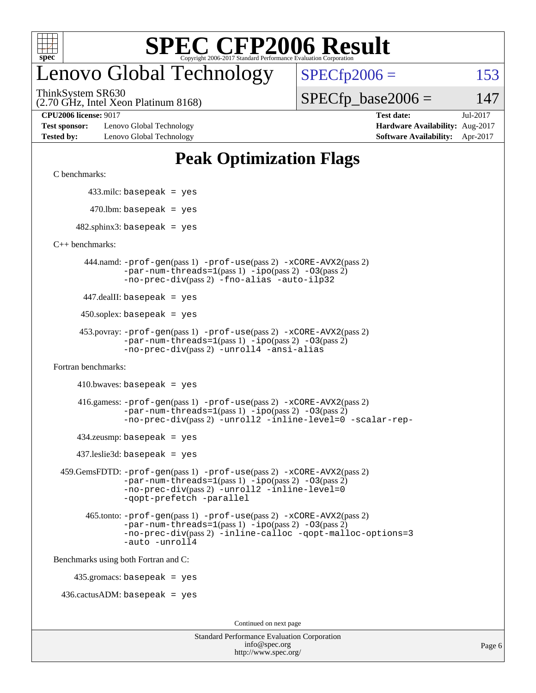

## enovo Global Technology

ThinkSystem SR630

 $SPECTp2006 = 153$ 

(2.70 GHz, Intel Xeon Platinum 8168)

 $SPECTp\_base2006 = 147$ 

**[Test sponsor:](http://www.spec.org/auto/cpu2006/Docs/result-fields.html#Testsponsor)** Lenovo Global Technology **[Hardware Availability:](http://www.spec.org/auto/cpu2006/Docs/result-fields.html#HardwareAvailability)** Aug-2017 **[Tested by:](http://www.spec.org/auto/cpu2006/Docs/result-fields.html#Testedby)** Lenovo Global Technology **[Software Availability:](http://www.spec.org/auto/cpu2006/Docs/result-fields.html#SoftwareAvailability)** Apr-2017

**[CPU2006 license:](http://www.spec.org/auto/cpu2006/Docs/result-fields.html#CPU2006license)** 9017 **[Test date:](http://www.spec.org/auto/cpu2006/Docs/result-fields.html#Testdate)** Jul-2017

## **[Peak Optimization Flags](http://www.spec.org/auto/cpu2006/Docs/result-fields.html#PeakOptimizationFlags)**

[C benchmarks](http://www.spec.org/auto/cpu2006/Docs/result-fields.html#Cbenchmarks):

433.milc: basepeak = yes

 $470$ .lbm: basepeak = yes

 $482$ .sphinx3: basepeak = yes

[C++ benchmarks:](http://www.spec.org/auto/cpu2006/Docs/result-fields.html#CXXbenchmarks)

 444.namd: [-prof-gen](http://www.spec.org/cpu2006/results/res2017q4/cpu2006-20170918-49581.flags.html#user_peakPASS1_CXXFLAGSPASS1_LDFLAGS444_namd_prof_gen_e43856698f6ca7b7e442dfd80e94a8fc)(pass 1) [-prof-use](http://www.spec.org/cpu2006/results/res2017q4/cpu2006-20170918-49581.flags.html#user_peakPASS2_CXXFLAGSPASS2_LDFLAGS444_namd_prof_use_bccf7792157ff70d64e32fe3e1250b55)(pass 2) [-xCORE-AVX2](http://www.spec.org/cpu2006/results/res2017q4/cpu2006-20170918-49581.flags.html#user_peakPASS2_CXXFLAGSPASS2_LDFLAGS444_namd_f-xCORE-AVX2)(pass 2)  $-par-num-threads=1(pass 1) -ipo(pass 2) -O3(pass 2)$  $-par-num-threads=1(pass 1) -ipo(pass 2) -O3(pass 2)$  $-par-num-threads=1(pass 1) -ipo(pass 2) -O3(pass 2)$  $-par-num-threads=1(pass 1) -ipo(pass 2) -O3(pass 2)$  $-par-num-threads=1(pass 1) -ipo(pass 2) -O3(pass 2)$  $-par-num-threads=1(pass 1) -ipo(pass 2) -O3(pass 2)$ [-no-prec-div](http://www.spec.org/cpu2006/results/res2017q4/cpu2006-20170918-49581.flags.html#user_peakPASS2_CXXFLAGSPASS2_LDFLAGS444_namd_f-no-prec-div)(pass 2) [-fno-alias](http://www.spec.org/cpu2006/results/res2017q4/cpu2006-20170918-49581.flags.html#user_peakCXXOPTIMIZEOPTIMIZE444_namd_f-no-alias_694e77f6c5a51e658e82ccff53a9e63a) [-auto-ilp32](http://www.spec.org/cpu2006/results/res2017q4/cpu2006-20170918-49581.flags.html#user_peakCXXOPTIMIZE444_namd_f-auto-ilp32)

447.dealII: basepeak = yes

 $450$ .soplex: basepeak = yes

```
 453.povray: -prof-gen(pass 1) -prof-use(pass 2) -xCORE-AVX2(pass 2)
         -par-num-threads=1-ipo-O3(pass 2)-no-prec-div(pass 2) -unroll4 -ansi-alias
```
[Fortran benchmarks](http://www.spec.org/auto/cpu2006/Docs/result-fields.html#Fortranbenchmarks):

 $410.bwaves: basepeak = yes$ 

 416.gamess: [-prof-gen](http://www.spec.org/cpu2006/results/res2017q4/cpu2006-20170918-49581.flags.html#user_peakPASS1_FFLAGSPASS1_LDFLAGS416_gamess_prof_gen_e43856698f6ca7b7e442dfd80e94a8fc)(pass 1) [-prof-use](http://www.spec.org/cpu2006/results/res2017q4/cpu2006-20170918-49581.flags.html#user_peakPASS2_FFLAGSPASS2_LDFLAGS416_gamess_prof_use_bccf7792157ff70d64e32fe3e1250b55)(pass 2) [-xCORE-AVX2](http://www.spec.org/cpu2006/results/res2017q4/cpu2006-20170918-49581.flags.html#user_peakPASS2_FFLAGSPASS2_LDFLAGS416_gamess_f-xCORE-AVX2)(pass 2)  $-par-num-threads=1(pass 1) -ipo(pass 2) -O3(pass 2)$  $-par-num-threads=1(pass 1) -ipo(pass 2) -O3(pass 2)$  $-par-num-threads=1(pass 1) -ipo(pass 2) -O3(pass 2)$  $-par-num-threads=1(pass 1) -ipo(pass 2) -O3(pass 2)$  $-par-num-threads=1(pass 1) -ipo(pass 2) -O3(pass 2)$  $-par-num-threads=1(pass 1) -ipo(pass 2) -O3(pass 2)$ [-no-prec-div](http://www.spec.org/cpu2006/results/res2017q4/cpu2006-20170918-49581.flags.html#user_peakPASS2_FFLAGSPASS2_LDFLAGS416_gamess_f-no-prec-div)(pass 2) [-unroll2](http://www.spec.org/cpu2006/results/res2017q4/cpu2006-20170918-49581.flags.html#user_peakOPTIMIZE416_gamess_f-unroll_784dae83bebfb236979b41d2422d7ec2) [-inline-level=0](http://www.spec.org/cpu2006/results/res2017q4/cpu2006-20170918-49581.flags.html#user_peakOPTIMIZE416_gamess_f-inline-level_318d07a09274ad25e8d15dbfaa68ba50) [-scalar-rep-](http://www.spec.org/cpu2006/results/res2017q4/cpu2006-20170918-49581.flags.html#user_peakOPTIMIZE416_gamess_f-disablescalarrep_abbcad04450fb118e4809c81d83c8a1d)

 $434$ .zeusmp: basepeak = yes

437.leslie3d: basepeak = yes

```
 459.GemsFDTD: -prof-gen(pass 1) -prof-use(pass 2) -xCORE-AVX2(pass 2)
            -par-num-threads=1-ipo-O3(pass 2)-no-prec-div(pass 2) -unroll2 -inline-level=0
            -qopt-prefetch -parallel
```
 465.tonto: [-prof-gen](http://www.spec.org/cpu2006/results/res2017q4/cpu2006-20170918-49581.flags.html#user_peakPASS1_FFLAGSPASS1_LDFLAGS465_tonto_prof_gen_e43856698f6ca7b7e442dfd80e94a8fc)(pass 1) [-prof-use](http://www.spec.org/cpu2006/results/res2017q4/cpu2006-20170918-49581.flags.html#user_peakPASS2_FFLAGSPASS2_LDFLAGS465_tonto_prof_use_bccf7792157ff70d64e32fe3e1250b55)(pass 2) [-xCORE-AVX2](http://www.spec.org/cpu2006/results/res2017q4/cpu2006-20170918-49581.flags.html#user_peakPASS2_FFLAGSPASS2_LDFLAGS465_tonto_f-xCORE-AVX2)(pass 2)  $-par-num-threads=1(pass 1) -ipo(pass 2) -O3(pass 2)$  $-par-num-threads=1(pass 1) -ipo(pass 2) -O3(pass 2)$  $-par-num-threads=1(pass 1) -ipo(pass 2) -O3(pass 2)$  $-par-num-threads=1(pass 1) -ipo(pass 2) -O3(pass 2)$  $-par-num-threads=1(pass 1) -ipo(pass 2) -O3(pass 2)$  $-par-num-threads=1(pass 1) -ipo(pass 2) -O3(pass 2)$ [-no-prec-div](http://www.spec.org/cpu2006/results/res2017q4/cpu2006-20170918-49581.flags.html#user_peakPASS2_FFLAGSPASS2_LDFLAGS465_tonto_f-no-prec-div)(pass 2) [-inline-calloc](http://www.spec.org/cpu2006/results/res2017q4/cpu2006-20170918-49581.flags.html#user_peakOPTIMIZE465_tonto_f-inline-calloc) [-qopt-malloc-options=3](http://www.spec.org/cpu2006/results/res2017q4/cpu2006-20170918-49581.flags.html#user_peakOPTIMIZE465_tonto_f-qopt-malloc-options_0fcb435012e78f27d57f473818e45fe4) [-auto](http://www.spec.org/cpu2006/results/res2017q4/cpu2006-20170918-49581.flags.html#user_peakOPTIMIZE465_tonto_f-auto) [-unroll4](http://www.spec.org/cpu2006/results/res2017q4/cpu2006-20170918-49581.flags.html#user_peakOPTIMIZE465_tonto_f-unroll_4e5e4ed65b7fd20bdcd365bec371b81f)

[Benchmarks using both Fortran and C](http://www.spec.org/auto/cpu2006/Docs/result-fields.html#BenchmarksusingbothFortranandC):

435.gromacs: basepeak = yes

 $436.cactusADM:basepeak = yes$ 

Continued on next page

| <b>Standard Performance Evaluation Corporation</b> |
|----------------------------------------------------|
| info@spec.org                                      |
| http://www.spec.org/                               |